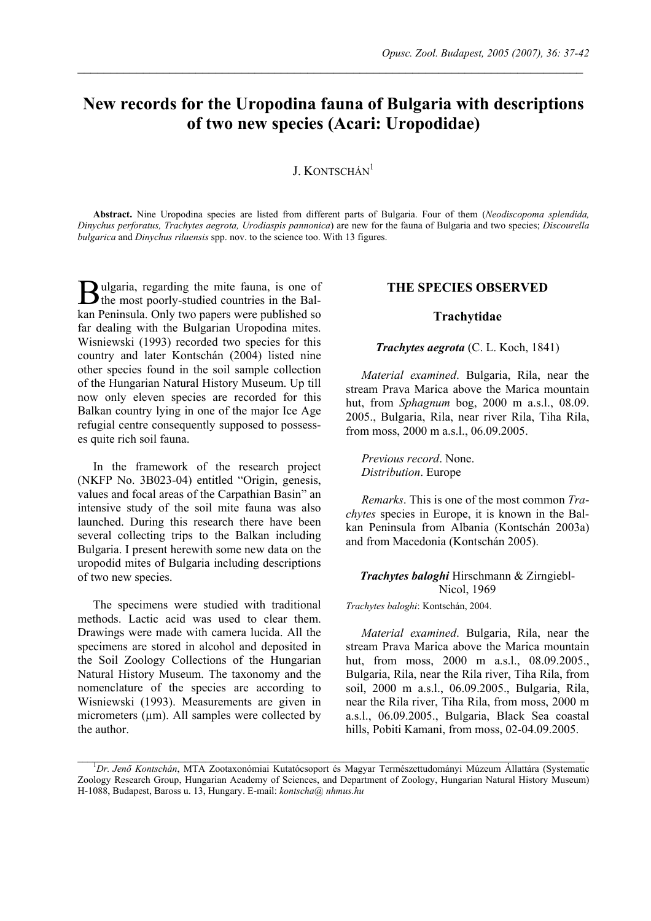# **New records for the Uropodina fauna of Bulgaria with descriptions of two new species (Acari: Uropodidae)**

 $\mathcal{L}_\mathcal{L} = \{ \mathcal{L}_\mathcal{L} = \{ \mathcal{L}_\mathcal{L} = \{ \mathcal{L}_\mathcal{L} = \{ \mathcal{L}_\mathcal{L} = \{ \mathcal{L}_\mathcal{L} = \{ \mathcal{L}_\mathcal{L} = \{ \mathcal{L}_\mathcal{L} = \{ \mathcal{L}_\mathcal{L} = \{ \mathcal{L}_\mathcal{L} = \{ \mathcal{L}_\mathcal{L} = \{ \mathcal{L}_\mathcal{L} = \{ \mathcal{L}_\mathcal{L} = \{ \mathcal{L}_\mathcal{L} = \{ \mathcal{L}_\mathcal{$ 

## J. KONTSCHÁN<sup>1</sup>

**Abstract.** Nine Uropodina species are listed from different parts of Bulgaria. Four of them (*Neodiscopoma splendida, Dinychus perforatus, Trachytes aegrota, Urodiaspis pannonica*) are new for the fauna of Bulgaria and two species; *Discourella bulgarica* and *Dinychus rilaensis* spp. nov. to the science too. With 13 figures.

ulgaria, regarding the mite fauna, is one of **B**ulgaria, regarding the mite fauna, is one of the most poorly-studied countries in the Balkan Peninsula. Only two papers were published so far dealing with the Bulgarian Uropodina mites. Wisniewski (1993) recorded two species for this country and later Kontschán (2004) listed nine other species found in the soil sample collection of the Hungarian Natural History Museum. Up till now only eleven species are recorded for this Balkan country lying in one of the major Ice Age refugial centre consequently supposed to possesses quite rich soil fauna.

In the framework of the research project (NKFP No. 3B023-04) entitled "Origin, genesis, values and focal areas of the Carpathian Basin" an intensive study of the soil mite fauna was also launched. During this research there have been several collecting trips to the Balkan including Bulgaria. I present herewith some new data on the uropodid mites of Bulgaria including descriptions of two new species.

The specimens were studied with traditional methods. Lactic acid was used to clear them. Drawings were made with camera lucida. All the specimens are stored in alcohol and deposited in the Soil Zoology Collections of the Hungarian Natural History Museum. The taxonomy and the nomenclature of the species are according to Wisniewski (1993). Measurements are given in micrometers  $(\mu m)$ . All samples were collected by the author.

### **THE SPECIES OBSERVED**

#### **Trachytidae**

#### *Trachytes aegrota* (C. L. Koch, 1841)

*Material examined*. Bulgaria, Rila, near the stream Prava Marica above the Marica mountain hut, from *Sphagnum* bog, 2000 m a.s.l., 08.09. 2005., Bulgaria, Rila, near river Rila, Tiha Rila, from moss, 2000 m a.s.l., 06.09.2005.

*Previous record*. None. *Distribution*. Europe

*Remarks*. This is one of the most common *Trachytes* species in Europe, it is known in the Balkan Peninsula from Albania (Kontschán 2003a) and from Macedonia (Kontschán 2005).

#### *Trachytes baloghi* Hirschmann & Zirngiebl-Nicol, 1969

*Trachytes baloghi*: Kontschán, 2004.

*Material examined*. Bulgaria, Rila, near the stream Prava Marica above the Marica mountain hut, from moss, 2000 m a.s.l., 08.09.2005., Bulgaria, Rila, near the Rila river, Tiha Rila, from soil, 2000 m a.s.l., 06.09.2005., Bulgaria, Rila, near the Rila river, Tiha Rila, from moss, 2000 m a.s.l., 06.09.2005., Bulgaria, Black Sea coastal hills, Pobiti Kamani, from moss, 02-04.09.2005.

<sup>&</sup>lt;sup>1</sup>Dr. Jenő Kontschán, MTA Zootaxonómiai Kutatócsoport és Magyar Természettudományi Múzeum Állattára (Systematic Zoology Research Group, Hungarian Academy of Sciences, and Department of Zoology, Hungarian Natural History Museum) H-1088, Budapest, Baross u. 13, Hungary. E-mail: *kontscha@ nhmus.hu*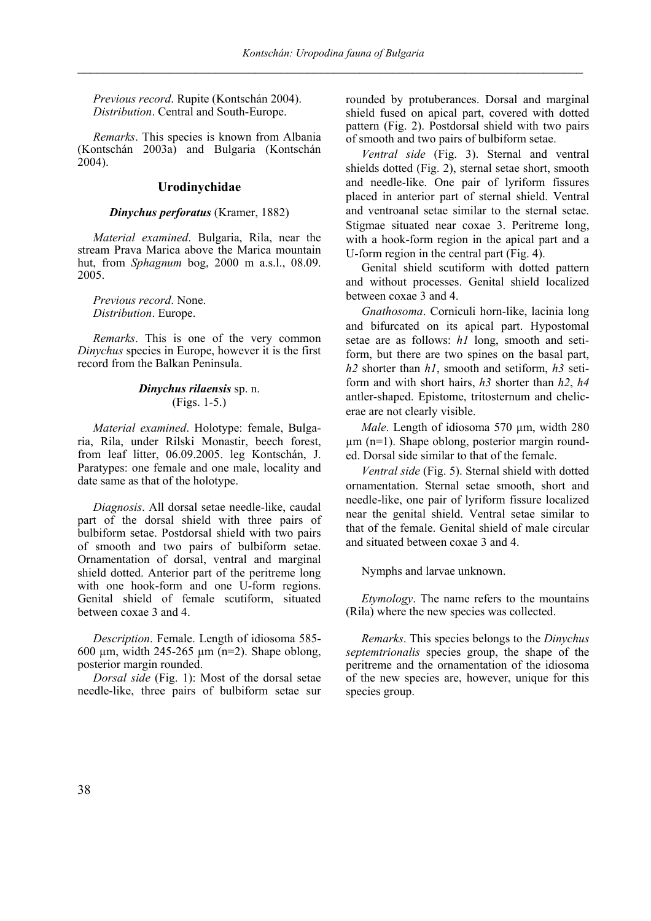*Previous record*. Rupite (Kontschán 2004). *Distribution*. Central and South-Europe.

*Remarks*. This species is known from Albania (Kontschán 2003a) and Bulgaria (Kontschán  $2004$ ).

#### **Urodinychidae**

#### *Dinychus perforatus* (Kramer, 1882)

*Material examined*. Bulgaria, Rila, near the stream Prava Marica above the Marica mountain hut, from *Sphagnum* bog, 2000 m a.s.l., 08.09. 2005.

*Previous record*. None. *Distribution*. Europe.

*Remarks*. This is one of the very common *Dinychus* species in Europe, however it is the first record from the Balkan Peninsula.

#### *Dinychus rilaensis* sp. n. (Figs. 1-5.)

*Material examined*. Holotype: female, Bulgaria, Rila, under Rilski Monastir, beech forest, from leaf litter, 06.09.2005. leg Kontschán, J. Paratypes: one female and one male, locality and date same as that of the holotype.

*Diagnosis*. All dorsal setae needle-like, caudal part of the dorsal shield with three pairs of bulbiform setae. Postdorsal shield with two pairs of smooth and two pairs of bulbiform setae. Ornamentation of dorsal, ventral and marginal shield dotted. Anterior part of the peritreme long with one hook-form and one U-form regions. Genital shield of female scutiform, situated between coxae 3 and 4.

*Description*. Female. Length of idiosoma 585- 600 µm, width 245-265 µm (n=2). Shape oblong, posterior margin rounded.

*Dorsal side* (Fig. 1): Most of the dorsal setae needle-like, three pairs of bulbiform setae sur

rounded by protuberances. Dorsal and marginal shield fused on apical part, covered with dotted pattern (Fig. 2). Postdorsal shield with two pairs of smooth and two pairs of bulbiform setae.

*Ventral side* (Fig. 3). Sternal and ventral shields dotted (Fig. 2), sternal setae short, smooth and needle-like. One pair of lyriform fissures placed in anterior part of sternal shield. Ventral and ventroanal setae similar to the sternal setae. Stigmae situated near coxae 3. Peritreme long, with a hook-form region in the apical part and a U-form region in the central part (Fig. 4).

Genital shield scutiform with dotted pattern and without processes. Genital shield localized between coxae 3 and 4.

*Gnathosoma*. Corniculi horn-like, lacinia long and bifurcated on its apical part. Hypostomal setae are as follows: *h1* long, smooth and setiform, but there are two spines on the basal part, *h2* shorter than *h1*, smooth and setiform, *h3* setiform and with short hairs, *h3* shorter than *h2*, *h4*  antler-shaped. Epistome, tritosternum and chelicerae are not clearly visible.

*Male*. Length of idiosoma 570 µm, width 280  $\mu$ m (n=1). Shape oblong, posterior margin rounded. Dorsal side similar to that of the female.

*Ventral side* (Fig. 5). Sternal shield with dotted ornamentation. Sternal setae smooth, short and needle-like, one pair of lyriform fissure localized near the genital shield. Ventral setae similar to that of the female. Genital shield of male circular and situated between coxae 3 and 4.

Nymphs and larvae unknown.

*Etymology*. The name refers to the mountains (Rila) where the new species was collected.

*Remarks*. This species belongs to the *Dinychus septemtrionalis* species group, the shape of the peritreme and the ornamentation of the idiosoma of the new species are, however, unique for this species group.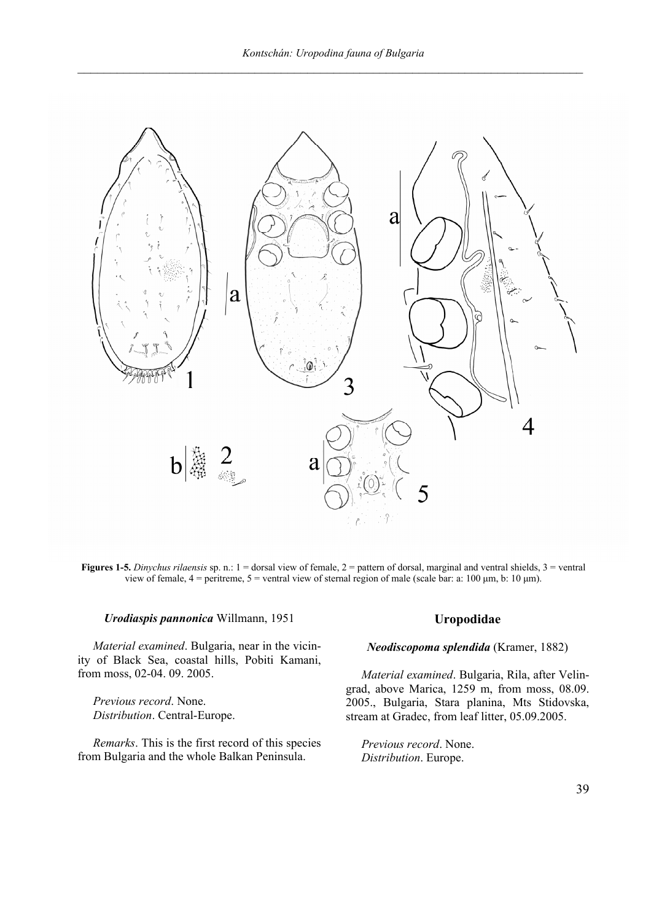

**Figures 1-5.** *Dinychus rilaensis* sp. n.: 1 = dorsal view of female, 2 = pattern of dorsal, marginal and ventral shields, 3 = ventral view of female, 4 = peritreme, 5 = ventral view of sternal region of male (scale bar: a: 100 µm, b: 10 µm).

#### *Urodiaspis pannonica* Willmann, 1951

*Material examined*. Bulgaria, near in the vicinity of Black Sea, coastal hills, Pobiti Kamani, from moss, 02-04. 09. 2005.

*Previous record*. None. *Distribution*. Central-Europe.

*Remarks*. This is the first record of this species from Bulgaria and the whole Balkan Peninsula.

#### **Uropodidae**

#### *Neodiscopoma splendida* (Kramer, 1882)

*Material examined*. Bulgaria, Rila, after Velingrad, above Marica, 1259 m, from moss, 08.09. 2005., Bulgaria, Stara planina, Mts Stidovska, stream at Gradec, from leaf litter, 05.09.2005.

*Previous record*. None. *Distribution*. Europe.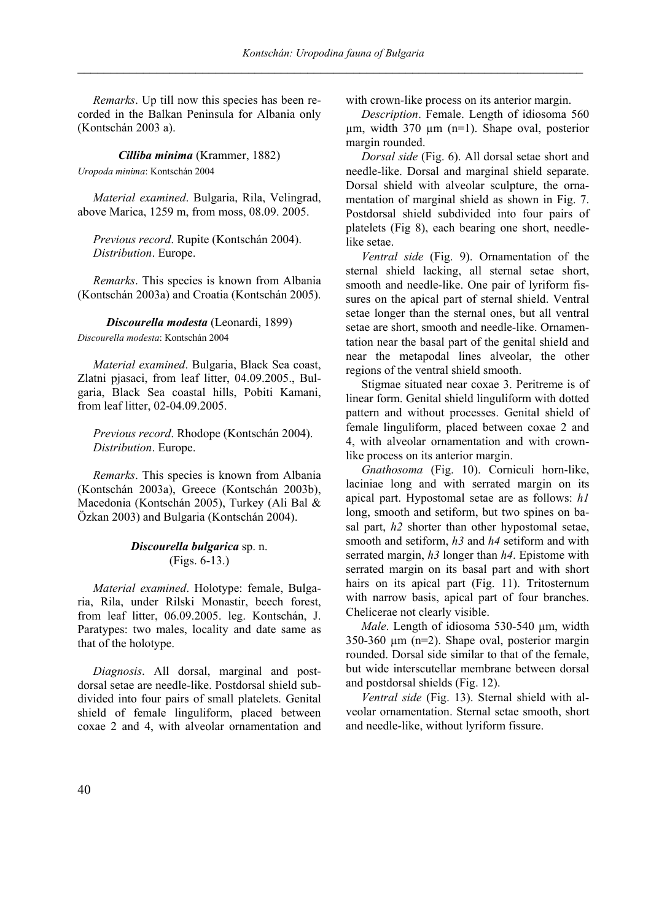*Remarks*. Up till now this species has been recorded in the Balkan Peninsula for Albania only (Kontschán 2003 a).

*Cilliba minima* (Krammer, 1882)

*Uropoda minima*: Kontschán 2004

*Material examined*. Bulgaria, Rila, Velingrad, above Marica, 1259 m, from moss, 08.09. 2005.

*Previous record*. Rupite (Kontschán 2004). *Distribution*. Europe.

*Remarks*. This species is known from Albania (Kontschán 2003a) and Croatia (Kontschán 2005).

*Discourella modesta* (Leonardi, 1899) *Discourella modesta*: Kontschán 2004

*Material examined*. Bulgaria, Black Sea coast, Zlatni pjasaci, from leaf litter, 04.09.2005., Bulgaria, Black Sea coastal hills, Pobiti Kamani, from leaf litter, 02-04.09.2005.

*Previous record*. Rhodope (Kontschán 2004). *Distribution*. Europe.

*Remarks*. This species is known from Albania (Kontschán 2003a), Greece (Kontschán 2003b), Macedonia (Kontschán 2005), Turkey (Ali Bal & Özkan 2003) and Bulgaria (Kontschán 2004).

## *Discourella bulgarica* sp. n. (Figs. 6-13.)

*Material examined*. Holotype: female, Bulgaria, Rila, under Rilski Monastir, beech forest, from leaf litter, 06.09.2005. leg. Kontschán, J. Paratypes: two males, locality and date same as that of the holotype.

*Diagnosis*. All dorsal, marginal and postdorsal setae are needle-like. Postdorsal shield subdivided into four pairs of small platelets. Genital shield of female linguliform, placed between coxae 2 and 4, with alveolar ornamentation and

with crown-like process on its anterior margin.

*Description*. Female. Length of idiosoma 560 µm, width 370 µm (n=1). Shape oval, posterior margin rounded.

*Dorsal side* (Fig. 6). All dorsal setae short and needle-like. Dorsal and marginal shield separate. Dorsal shield with alveolar sculpture, the ornamentation of marginal shield as shown in Fig. 7. Postdorsal shield subdivided into four pairs of platelets (Fig 8), each bearing one short, needlelike setae.

*Ventral side* (Fig. 9). Ornamentation of the sternal shield lacking, all sternal setae short, smooth and needle-like. One pair of lyriform fissures on the apical part of sternal shield. Ventral setae longer than the sternal ones, but all ventral setae are short, smooth and needle-like. Ornamentation near the basal part of the genital shield and near the metapodal lines alveolar, the other regions of the ventral shield smooth.

Stigmae situated near coxae 3. Peritreme is of linear form. Genital shield linguliform with dotted pattern and without processes. Genital shield of female linguliform, placed between coxae 2 and 4, with alveolar ornamentation and with crownlike process on its anterior margin.

*Gnathosoma* (Fig. 10). Corniculi horn-like, laciniae long and with serrated margin on its apical part. Hypostomal setae are as follows: *h1* long, smooth and setiform, but two spines on basal part, *h2* shorter than other hypostomal setae, smooth and setiform, *h3* and *h4* setiform and with serrated margin, *h3* longer than *h4*. Epistome with serrated margin on its basal part and with short hairs on its apical part (Fig. 11). Tritosternum with narrow basis, apical part of four branches. Chelicerae not clearly visible.

*Male*. Length of idiosoma 530-540 µm, width 350-360 µm (n=2). Shape oval, posterior margin rounded. Dorsal side similar to that of the female, but wide interscutellar membrane between dorsal and postdorsal shields (Fig. 12).

*Ventral side* (Fig. 13). Sternal shield with alveolar ornamentation. Sternal setae smooth, short and needle-like, without lyriform fissure.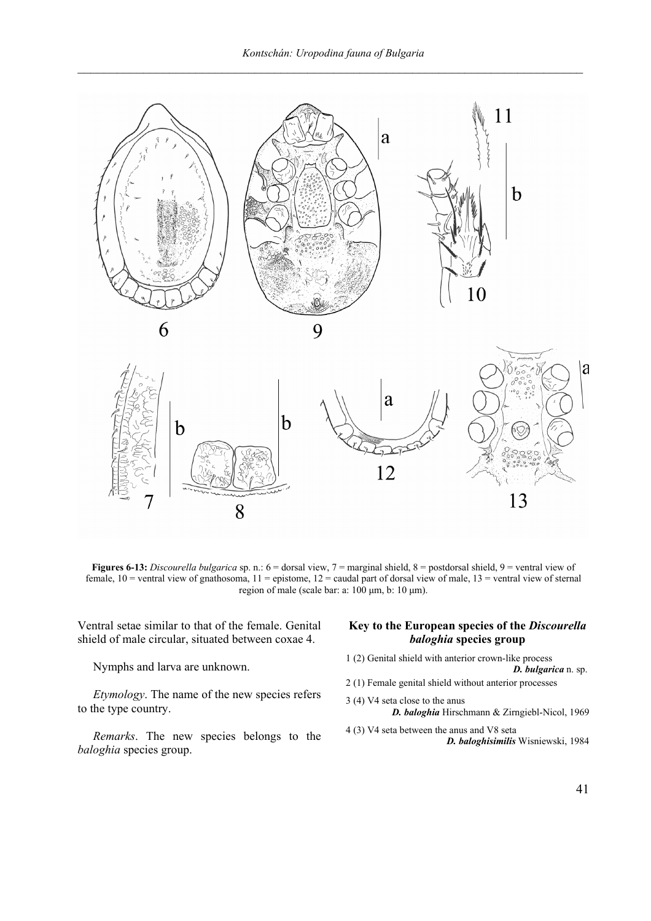

**Figures 6-13:** *Discourella bulgarica* sp. n.: 6 = dorsal view, 7 = marginal shield, 8 = postdorsal shield, 9 = ventral view of female,  $10$  = ventral view of gnathosoma,  $11$  = epistome,  $12$  = caudal part of dorsal view of male,  $13$  = ventral view of sternal region of male (scale bar: a: 100 µm, b: 10 µm).

Ventral setae similar to that of the female. Genital shield of male circular, situated between coxae 4.

Nymphs and larva are unknown.

*Etymology*. The name of the new species refers to the type country.

*Remarks*. The new species belongs to the *baloghia* species group.

#### **Key to the European species of the** *Discourella baloghia* **species group**

- 1 (2) Genital shield with anterior crown-like process *D. bulgarica* n. sp.
- 2 (1) Female genital shield without anterior processes
- 3 (4) V4 seta close to the anus *D. baloghia* Hirschmann & Zirngiebl-Nicol, 1969
- 4 (3) V4 seta between the anus and V8 seta *D. baloghisimilis* Wisniewski, 1984